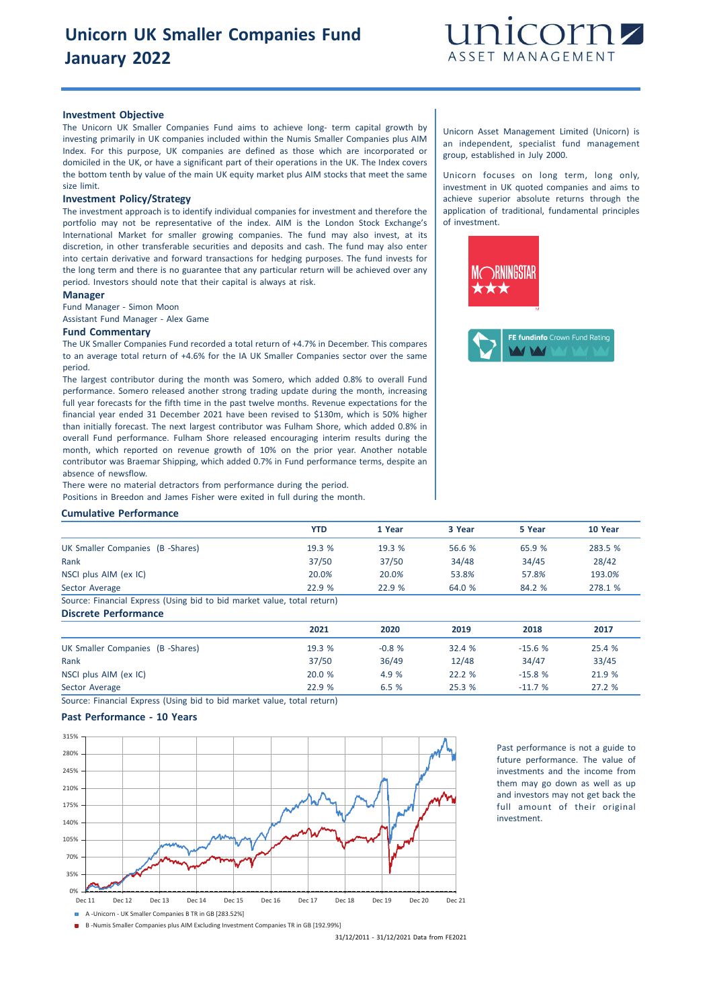

#### **Investment Objective**

The Unicorn UK Smaller Companies Fund aims to achieve long- term capital growth by investing primarily in UK companies included within the Numis Smaller Companies plus AIM Index. For this purpose, UK companies are defined as those which are incorporated or domiciled in the UK, or have a significant part of their operations in the UK. The Index covers the bottom tenth by value of the main UK equity market plus AIM stocks that meet the same size limit.

## **Investment Policy/Strategy**

The investment approach is to identify individual companies for investment and therefore the portfolio may not be representative of the index. AIM is the London Stock Exchange's International Market for smaller growing companies. The fund may also invest, at its discretion, in other transferable securities and deposits and cash. The fund may also enter into certain derivative and forward transactions for hedging purposes. The fund invests for the long term and there is no guarantee that any particular return will be achieved over any period. Investors should note that their capital is always at risk.

#### **Manager**

Fund Manager - Simon Moon

Assistant Fund Manager - Alex Game

#### **Fund Commentary**

The UK Smaller Companies Fund recorded a total return of +4.7% in December. This compares to an average total return of +4.6% for the IA UK Smaller Companies sector over the same period.

The largest contributor during the month was Somero, which added 0.8% to overall Fund performance. Somero released another strong trading update during the month, increasing full year forecasts for the fifth time in the past twelve months. Revenue expectations for the financial year ended 31 December 2021 have been revised to \$130m, which is 50% higher than initially forecast. The next largest contributor was Fulham Shore, which added 0.8% in overall Fund performance. Fulham Shore released encouraging interim results during the month, which reported on revenue growth of 10% on the prior year. Another notable contributor was Braemar Shipping, which added 0.7% in Fund performance terms, despite an absence of newsflow.

There were no material detractors from performance during the period. Positions in Breedon and James Fisher were exited in full during the month.

### **Cumulative Performance**

|                                                                        | YTD    | 1 Year | 3 Year | 5 Year | 10 Year |
|------------------------------------------------------------------------|--------|--------|--------|--------|---------|
| UK Smaller Companies (B -Shares)                                       | 19.3 % | 19.3%  | 56.6 % | 65.9 % | 283.5 % |
| Rank                                                                   | 37/50  | 37/50  | 34/48  | 34/45  | 28/42   |
| NSCI plus AIM (ex IC)                                                  | 20.0%  | 20.0%  | 53.8%  | 57.8%  | 193.0%  |
| Sector Average                                                         | 22.9 % | 22.9%  | 64.0 % | 84.2 % | 278.1 % |
| Cource: Einancial Evaress (Hsing bid to bid market value total return) |        |        |        |        |         |

rce: Financial Express (Using bid to bid market value, total return) **Discrete Performance**

|                                  | 2021   | 2020    | 2019   | 2018     | 2017   |
|----------------------------------|--------|---------|--------|----------|--------|
| UK Smaller Companies (B -Shares) | 19.3 % | $-0.8%$ | 32.4%  | $-15.6%$ | 25.4 % |
| Rank                             | 37/50  | 36/49   | 12/48  | 34/47    | 33/45  |
| NSCI plus AIM (ex IC)            | 20.0 % | 4.9 %   | 22.2%  | $-15.8%$ | 21.9 % |
| Sector Average                   | 22.9 % | 6.5%    | 25.3 % | $-11.7%$ | 27.2 % |

Source: Financial Express (Using bid to bid market value, total return)

## **Past Performance - 10 Years**



Past performance is not a guide to future performance. The value of investments and the income from them may go down as well as up and investors may not get back the full amount of their original investment.

B -Numis Smaller Companies plus AIM Excluding Investment Companies TR in GB [192.99%]

31/12/2011 - 31/12/2021 Data from FE2021

Unicorn Asset Management Limited (Unicorn) is an independent, specialist fund management group, established in July 2000.

Unicorn focuses on long term, long only, investment in UK quoted companies and aims to achieve superior absolute returns through the application of traditional, fundamental principles of investment.